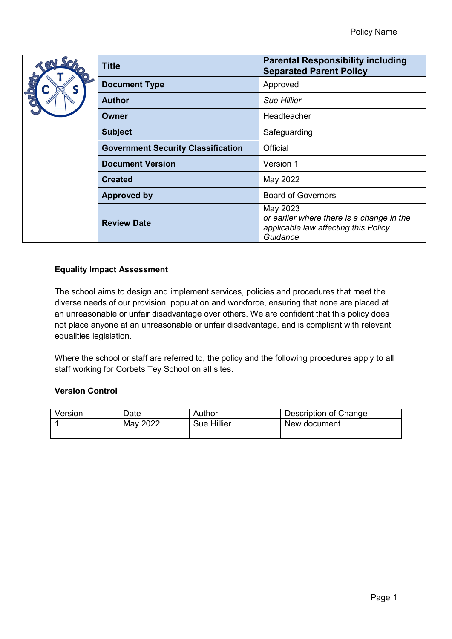|  | <b>Title</b>                              | <b>Parental Responsibility including</b><br><b>Separated Parent Policy</b>                                |
|--|-------------------------------------------|-----------------------------------------------------------------------------------------------------------|
|  | <b>Document Type</b>                      | Approved                                                                                                  |
|  | <b>Author</b>                             | <b>Sue Hillier</b>                                                                                        |
|  | Owner                                     | Headteacher                                                                                               |
|  | <b>Subject</b>                            | Safeguarding                                                                                              |
|  | <b>Government Security Classification</b> | Official                                                                                                  |
|  | <b>Document Version</b>                   | Version 1                                                                                                 |
|  | <b>Created</b>                            | May 2022                                                                                                  |
|  | <b>Approved by</b>                        | <b>Board of Governors</b>                                                                                 |
|  | <b>Review Date</b>                        | May 2023<br>or earlier where there is a change in the<br>applicable law affecting this Policy<br>Guidance |

# **Equality Impact Assessment**

The school aims to design and implement services, policies and procedures that meet the diverse needs of our provision, population and workforce, ensuring that none are placed at an unreasonable or unfair disadvantage over others. We are confident that this policy does not place anyone at an unreasonable or unfair disadvantage, and is compliant with relevant equalities legislation.

Where the school or staff are referred to, the policy and the following procedures apply to all staff working for Corbets Tey School on all sites.

### **Version Control**

| Version | Date     | Author      | Description of Change |
|---------|----------|-------------|-----------------------|
|         | May 2022 | Sue Hillier | New document          |
|         |          |             |                       |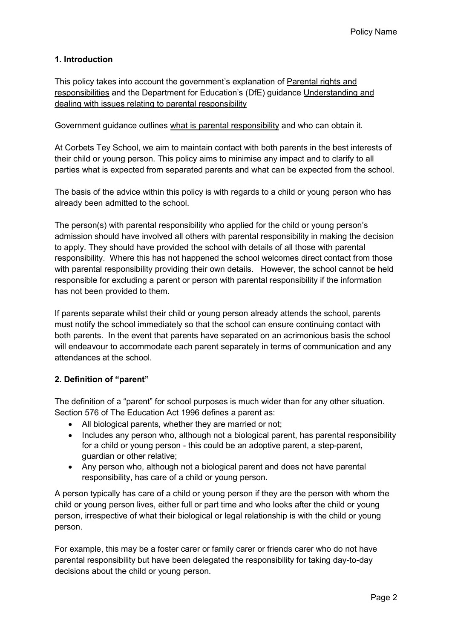# **1. Introduction**

This policy takes into account the government's explanation of [Parental rights and](https://www.gov.uk/parental-rights-responsibilities)  [responsibilities](https://www.gov.uk/parental-rights-responsibilities) and the Department for Education's (DfE) guidance [Understanding and](https://www.gov.uk/government/publications/dealing-with-issues-relating-to-parental-responsibility/understanding-and-dealing-with-issues-relating-to-parental-responsibility#introduction)  [dealing with issues relating to parental responsibility](https://www.gov.uk/government/publications/dealing-with-issues-relating-to-parental-responsibility/understanding-and-dealing-with-issues-relating-to-parental-responsibility#introduction) 

Government guidance outlines [what is parental responsibility](https://www.gov.uk/parental-rights-responsibilities) and who can obtain it.

At Corbets Tey School, we aim to maintain contact with both parents in the best interests of their child or young person. This policy aims to minimise any impact and to clarify to all parties what is expected from separated parents and what can be expected from the school.

The basis of the advice within this policy is with regards to a child or young person who has already been admitted to the school.

The person(s) with parental responsibility who applied for the child or young person's admission should have involved all others with parental responsibility in making the decision to apply. They should have provided the school with details of all those with parental responsibility. Where this has not happened the school welcomes direct contact from those with parental responsibility providing their own details. However, the school cannot be held responsible for excluding a parent or person with parental responsibility if the information has not been provided to them.

If parents separate whilst their child or young person already attends the school, parents must notify the school immediately so that the school can ensure continuing contact with both parents. In the event that parents have separated on an acrimonious basis the school will endeavour to accommodate each parent separately in terms of communication and any attendances at the school.

### **2. Definition of "parent"**

The definition of a "parent" for school purposes is much wider than for any other situation. Section 576 of The Education Act 1996 defines a parent as:

- All biological parents, whether they are married or not;
- Includes any person who, although not a biological parent, has parental responsibility for a child or young person - this could be an adoptive parent, a step-parent, guardian or other relative;
- Any person who, although not a biological parent and does not have parental responsibility, has care of a child or young person.

A person typically has care of a child or young person if they are the person with whom the child or young person lives, either full or part time and who looks after the child or young person, irrespective of what their biological or legal relationship is with the child or young person.

For example, this may be a foster carer or family carer or friends carer who do not have parental responsibility but have been delegated the responsibility for taking day-to-day decisions about the child or young person.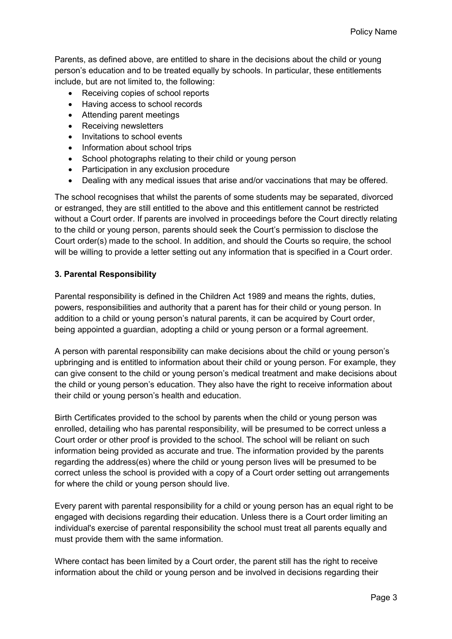Parents, as defined above, are entitled to share in the decisions about the child or young person's education and to be treated equally by schools. In particular, these entitlements include, but are not limited to, the following:

- Receiving copies of school reports
- Having access to school records
- Attending parent meetings
- Receiving newsletters
- Invitations to school events
- Information about school trips
- School photographs relating to their child or young person
- Participation in any exclusion procedure
- Dealing with any medical issues that arise and/or vaccinations that may be offered.

The school recognises that whilst the parents of some students may be separated, divorced or estranged, they are still entitled to the above and this entitlement cannot be restricted without a Court order. If parents are involved in proceedings before the Court directly relating to the child or young person, parents should seek the Court's permission to disclose the Court order(s) made to the school. In addition, and should the Courts so require, the school will be willing to provide a letter setting out any information that is specified in a Court order.

# **3. Parental Responsibility**

Parental responsibility is defined in the Children Act 1989 and means the rights, duties, powers, responsibilities and authority that a parent has for their child or young person. In addition to a child or young person's natural parents, it can be acquired by Court order, being appointed a guardian, adopting a child or young person or a formal agreement.

A person with parental responsibility can make decisions about the child or young person's upbringing and is entitled to information about their child or young person. For example, they can give consent to the child or young person's medical treatment and make decisions about the child or young person's education. They also have the right to receive information about their child or young person's health and education.

Birth Certificates provided to the school by parents when the child or young person was enrolled, detailing who has parental responsibility, will be presumed to be correct unless a Court order or other proof is provided to the school. The school will be reliant on such information being provided as accurate and true. The information provided by the parents regarding the address(es) where the child or young person lives will be presumed to be correct unless the school is provided with a copy of a Court order setting out arrangements for where the child or young person should live.

Every parent with parental responsibility for a child or young person has an equal right to be engaged with decisions regarding their education. Unless there is a Court order limiting an individual's exercise of parental responsibility the school must treat all parents equally and must provide them with the same information.

Where contact has been limited by a Court order, the parent still has the right to receive information about the child or young person and be involved in decisions regarding their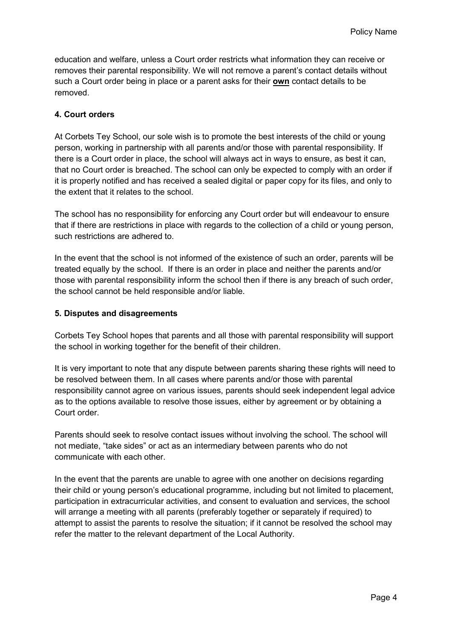education and welfare, unless a Court order restricts what information they can receive or removes their parental responsibility. We will not remove a parent's contact details without such a Court order being in place or a parent asks for their **own** contact details to be removed.

### **4. Court orders**

At Corbets Tey School, our sole wish is to promote the best interests of the child or young person, working in partnership with all parents and/or those with parental responsibility. If there is a Court order in place, the school will always act in ways to ensure, as best it can, that no Court order is breached. The school can only be expected to comply with an order if it is properly notified and has received a sealed digital or paper copy for its files, and only to the extent that it relates to the school.

The school has no responsibility for enforcing any Court order but will endeavour to ensure that if there are restrictions in place with regards to the collection of a child or young person, such restrictions are adhered to.

In the event that the school is not informed of the existence of such an order, parents will be treated equally by the school. If there is an order in place and neither the parents and/or those with parental responsibility inform the school then if there is any breach of such order, the school cannot be held responsible and/or liable.

### **5. Disputes and disagreements**

Corbets Tey School hopes that parents and all those with parental responsibility will support the school in working together for the benefit of their children.

It is very important to note that any dispute between parents sharing these rights will need to be resolved between them. In all cases where parents and/or those with parental responsibility cannot agree on various issues, parents should seek independent legal advice as to the options available to resolve those issues, either by agreement or by obtaining a Court order.

Parents should seek to resolve contact issues without involving the school. The school will not mediate, "take sides" or act as an intermediary between parents who do not communicate with each other.

In the event that the parents are unable to agree with one another on decisions regarding their child or young person's educational programme, including but not limited to placement, participation in extracurricular activities, and consent to evaluation and services, the school will arrange a meeting with all parents (preferably together or separately if required) to attempt to assist the parents to resolve the situation; if it cannot be resolved the school may refer the matter to the relevant department of the Local Authority.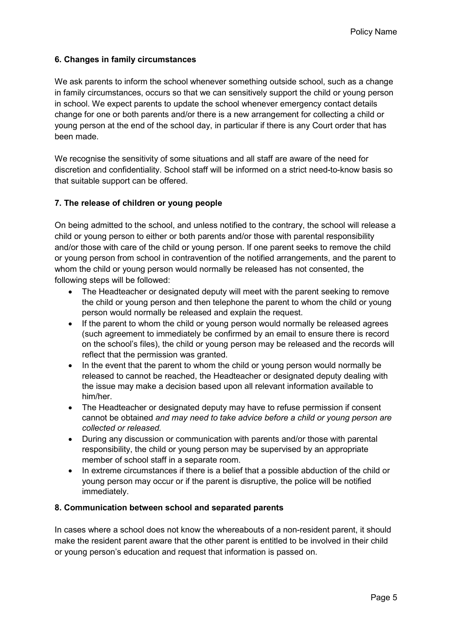# **6. Changes in family circumstances**

We ask parents to inform the school whenever something outside school, such as a change in family circumstances, occurs so that we can sensitively support the child or young person in school. We expect parents to update the school whenever emergency contact details change for one or both parents and/or there is a new arrangement for collecting a child or young person at the end of the school day, in particular if there is any Court order that has been made.

We recognise the sensitivity of some situations and all staff are aware of the need for discretion and confidentiality. School staff will be informed on a strict need-to-know basis so that suitable support can be offered.

### **7. The release of children or young people**

On being admitted to the school, and unless notified to the contrary, the school will release a child or young person to either or both parents and/or those with parental responsibility and/or those with care of the child or young person. If one parent seeks to remove the child or young person from school in contravention of the notified arrangements, and the parent to whom the child or young person would normally be released has not consented, the following steps will be followed:

- The Headteacher or designated deputy will meet with the parent seeking to remove the child or young person and then telephone the parent to whom the child or young person would normally be released and explain the request.
- If the parent to whom the child or young person would normally be released agrees (such agreement to immediately be confirmed by an email to ensure there is record on the school's files), the child or young person may be released and the records will reflect that the permission was granted.
- In the event that the parent to whom the child or young person would normally be released to cannot be reached, the Headteacher or designated deputy dealing with the issue may make a decision based upon all relevant information available to him/her.
- The Headteacher or designated deputy may have to refuse permission if consent cannot be obtained *and may need to take advice before a child or young person are collected or released.*
- During any discussion or communication with parents and/or those with parental responsibility, the child or young person may be supervised by an appropriate member of school staff in a separate room.
- In extreme circumstances if there is a belief that a possible abduction of the child or young person may occur or if the parent is disruptive, the police will be notified immediately.

#### **8. Communication between school and separated parents**

In cases where a school does not know the whereabouts of a non-resident parent, it should make the resident parent aware that the other parent is entitled to be involved in their child or young person's education and request that information is passed on.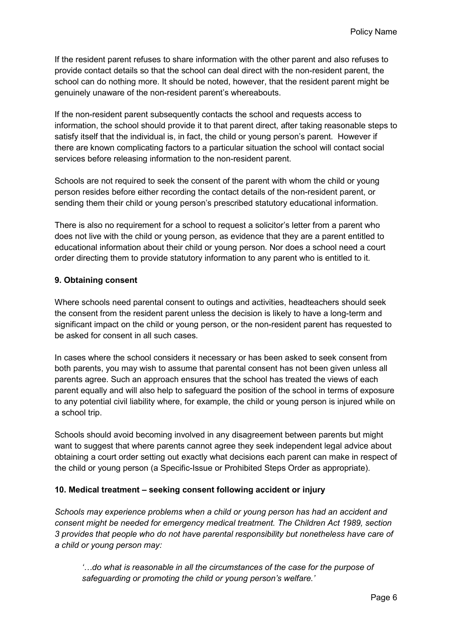If the resident parent refuses to share information with the other parent and also refuses to provide contact details so that the school can deal direct with the non-resident parent, the school can do nothing more. It should be noted, however, that the resident parent might be genuinely unaware of the non-resident parent's whereabouts.

If the non-resident parent subsequently contacts the school and requests access to information, the school should provide it to that parent direct, after taking reasonable steps to satisfy itself that the individual is, in fact, the child or young person's parent. However if there are known complicating factors to a particular situation the school will contact social services before releasing information to the non-resident parent.

Schools are not required to seek the consent of the parent with whom the child or young person resides before either recording the contact details of the non-resident parent, or sending them their child or young person's prescribed statutory educational information.

There is also no requirement for a school to request a solicitor's letter from a parent who does not live with the child or young person, as evidence that they are a parent entitled to educational information about their child or young person. Nor does a school need a court order directing them to provide statutory information to any parent who is entitled to it.

### **9. Obtaining consent**

Where schools need parental consent to outings and activities, headteachers should seek the consent from the resident parent unless the decision is likely to have a long-term and significant impact on the child or young person, or the non-resident parent has requested to be asked for consent in all such cases.

In cases where the school considers it necessary or has been asked to seek consent from both parents, you may wish to assume that parental consent has not been given unless all parents agree. Such an approach ensures that the school has treated the views of each parent equally and will also help to safeguard the position of the school in terms of exposure to any potential civil liability where, for example, the child or young person is injured while on a school trip.

Schools should avoid becoming involved in any disagreement between parents but might want to suggest that where parents cannot agree they seek independent legal advice about obtaining a court order setting out exactly what decisions each parent can make in respect of the child or young person (a Specific-Issue or Prohibited Steps Order as appropriate).

### **10. Medical treatment – seeking consent following accident or injury**

*Schools may experience problems when a child or young person has had an accident and consent might be needed for emergency medical treatment. The Children Act 1989, section 3 provides that people who do not have parental responsibility but nonetheless have care of a child or young person may:*

*'…do what is reasonable in all the circumstances of the case for the purpose of safeguarding or promoting the child or young person's welfare.'*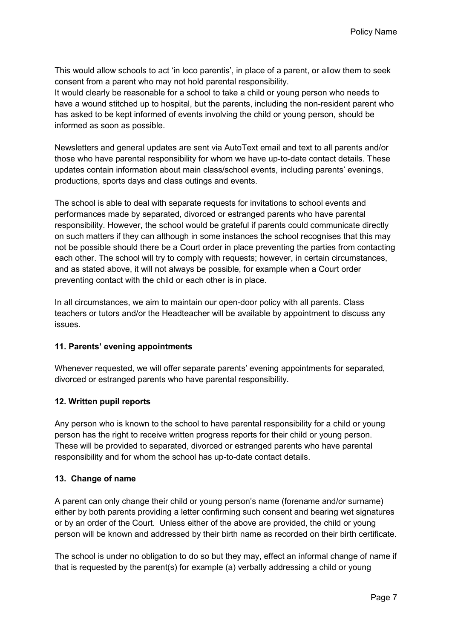This would allow schools to act 'in loco parentis', in place of a parent, or allow them to seek consent from a parent who may not hold parental responsibility.

It would clearly be reasonable for a school to take a child or young person who needs to have a wound stitched up to hospital, but the parents, including the non-resident parent who has asked to be kept informed of events involving the child or young person, should be informed as soon as possible.

Newsletters and general updates are sent via AutoText email and text to all parents and/or those who have parental responsibility for whom we have up-to-date contact details. These updates contain information about main class/school events, including parents' evenings, productions, sports days and class outings and events.

The school is able to deal with separate requests for invitations to school events and performances made by separated, divorced or estranged parents who have parental responsibility. However, the school would be grateful if parents could communicate directly on such matters if they can although in some instances the school recognises that this may not be possible should there be a Court order in place preventing the parties from contacting each other. The school will try to comply with requests; however, in certain circumstances, and as stated above, it will not always be possible, for example when a Court order preventing contact with the child or each other is in place.

In all circumstances, we aim to maintain our open-door policy with all parents. Class teachers or tutors and/or the Headteacher will be available by appointment to discuss any issues.

### **11. Parents' evening appointments**

Whenever requested, we will offer separate parents' evening appointments for separated, divorced or estranged parents who have parental responsibility.

### **12. Written pupil reports**

Any person who is known to the school to have parental responsibility for a child or young person has the right to receive written progress reports for their child or young person. These will be provided to separated, divorced or estranged parents who have parental responsibility and for whom the school has up-to-date contact details.

### **13. Change of name**

A parent can only change their child or young person's name (forename and/or surname) either by both parents providing a letter confirming such consent and bearing wet signatures or by an order of the Court. Unless either of the above are provided, the child or young person will be known and addressed by their birth name as recorded on their birth certificate.

The school is under no obligation to do so but they may, effect an informal change of name if that is requested by the parent(s) for example (a) verbally addressing a child or young